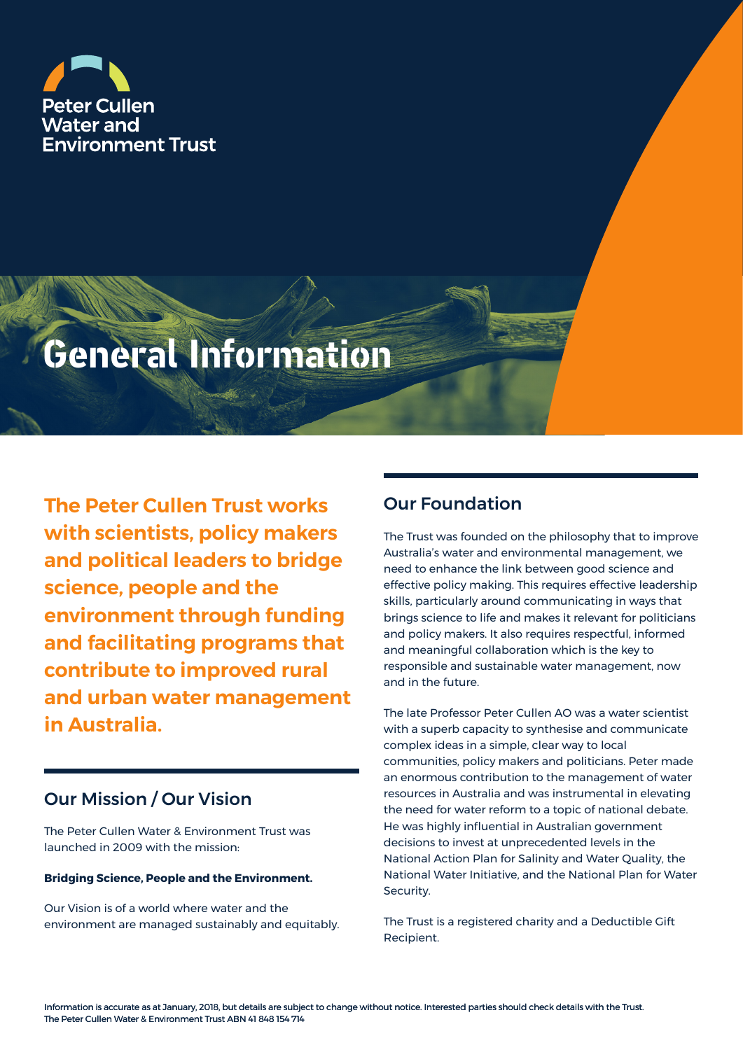

# **General Information**

**The Peter Cullen Trust works with scientists, policy makers and political leaders to bridge science, people and the environment through funding and facilitating programs that contribute to improved rural and urban water management in Australia.**

## Our Mission / Our Vision

The Peter Cullen Water & Environment Trust was launched in 2009 with the mission:

#### **Bridging Science, People and the Environment.**

Our Vision is of a world where water and the environment are managed sustainably and equitably.

## Our Foundation

The Trust was founded on the philosophy that to improve Australia's water and environmental management, we need to enhance the link between good science and effective policy making. This requires effective leadership skills, particularly around communicating in ways that brings science to life and makes it relevant for politicians and policy makers. It also requires respectful, informed and meaningful collaboration which is the key to responsible and sustainable water management, now and in the future.

The late Professor Peter Cullen AO was a water scientist with a superb capacity to synthesise and communicate complex ideas in a simple, clear way to local communities, policy makers and politicians. Peter made an enormous contribution to the management of water resources in Australia and was instrumental in elevating the need for water reform to a topic of national debate. He was highly influential in Australian government decisions to invest at unprecedented levels in the National Action Plan for Salinity and Water Quality, the National Water Initiative, and the National Plan for Water Security.

The Trust is a registered charity and a Deductible Gift Recipient.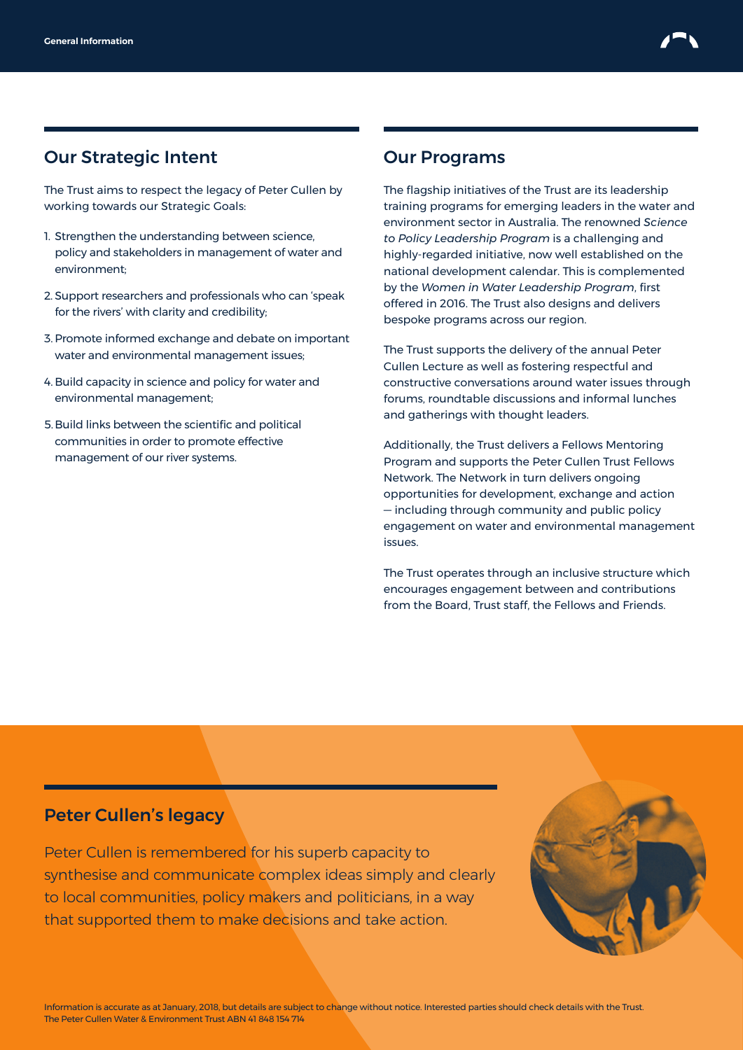

## Our Strategic Intent

The Trust aims to respect the legacy of Peter Cullen by working towards our Strategic Goals:

- 1. Strengthen the understanding between science, policy and stakeholders in management of water and environment;
- 2. Support researchers and professionals who can 'speak for the rivers' with clarity and credibility;
- 3. Promote informed exchange and debate on important water and environmental management issues;
- 4. Build capacity in science and policy for water and environmental management;
- 5.Build links between the scientific and political communities in order to promote effective management of our river systems.

#### Our Programs

The flagship initiatives of the Trust are its leadership training programs for emerging leaders in the water and environment sector in Australia. The renowned *Science to Policy Leadership Program* is a challenging and highly-regarded initiative, now well established on the national development calendar. This is complemented by the *Women in Water Leadership Program*, first offered in 2016. The Trust also designs and delivers bespoke programs across our region.

The Trust supports the delivery of the annual Peter Cullen Lecture as well as fostering respectful and constructive conversations around water issues through forums, roundtable discussions and informal lunches and gatherings with thought leaders.

Additionally, the Trust delivers a Fellows Mentoring Program and supports the Peter Cullen Trust Fellows Network. The Network in turn delivers ongoing opportunities for development, exchange and action — including through community and public policy engagement on water and environmental management issues.

The Trust operates through an inclusive structure which encourages engagement between and contributions from the Board, Trust staff, the Fellows and Friends.

#### Peter Cullen's legacy

Peter Cullen is remembered for his superb capacity to synthesise and communicate complex ideas simply and clearly to local communities, policy makers and politicians, in a way that supported them to make decisions and take action.